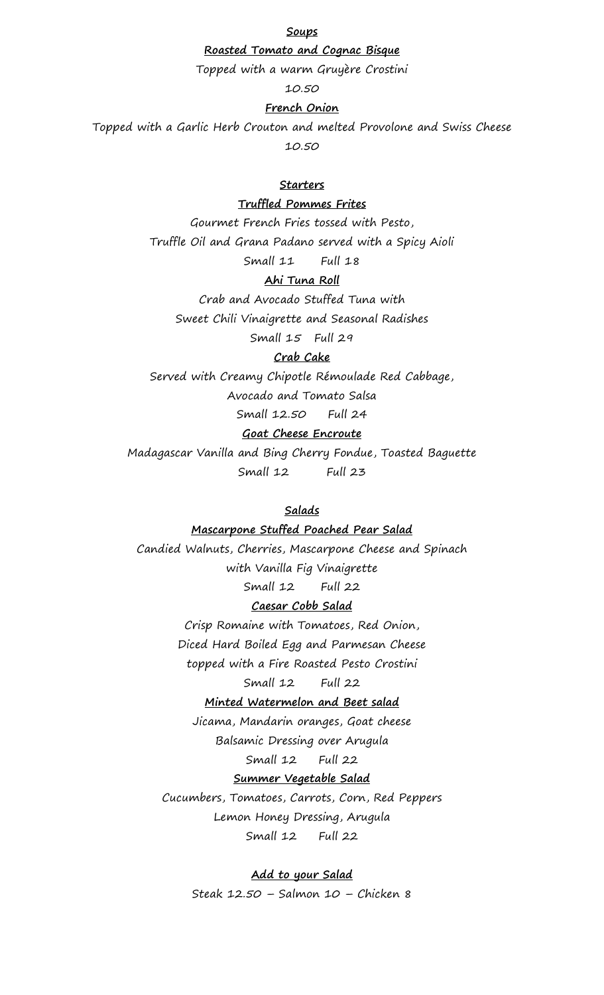**Soups**

### **Roasted Tomato and Cognac Bisque**

Topped with a warm Gruyère Crostini

10.50

## **French Onion**

Topped with a Garlic Herb Crouton and melted Provolone and Swiss Cheese 10.50

## **Starters**

## **Truffled Pommes Frites**

Gourmet French Fries tossed with Pesto, Truffle Oil and Grana Padano served with a Spicy Aioli Small 11 Full 18

## **Ahi Tuna Roll**

Crab and Avocado Stuffed Tuna with Sweet Chili Vinaigrette and Seasonal Radishes Small 15 Full 29

#### **Crab Cake**

Served with Creamy Chipotle Rémoulade Red Cabbage, Avocado and Tomato Salsa

Small 12.50 Full 24

# **Goat Cheese Encroute**

Madagascar Vanilla and Bing Cherry Fondue, Toasted Baguette Small 12 Full 23

## **Salads**

#### **Mascarpone Stuffed Poached Pear Salad**

Candied Walnuts, Cherries, Mascarpone Cheese and Spinach with Vanilla Fig Vinaigrette Small 12 Full 22

## **Caesar Cobb Salad**

Crisp Romaine with Tomatoes, Red Onion, Diced Hard Boiled Egg and Parmesan Cheese topped with a Fire Roasted Pesto Crostini

#### Small 12 Full 22

#### **Minted Watermelon and Beet salad**

Jicama, Mandarin oranges, Goat cheese Balsamic Dressing over Arugula

Small 12 Full 22

# **Summer Vegetable Salad**

Cucumbers, Tomatoes, Carrots, Corn, Red Peppers Lemon Honey Dressing, Arugula Small 12 Full 22

#### **Add to your Salad**

Steak 12.50 – Salmon 10 – Chicken 8